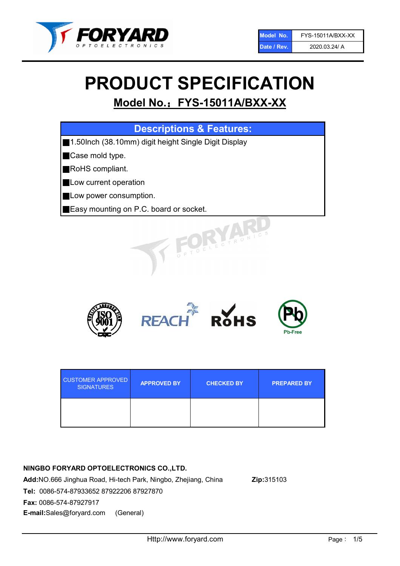

# PRODUCT SPECIFICATION

## Model No.: FYS-15011A/BXX-XX

| <b>Descriptions &amp; Features:</b>                  |
|------------------------------------------------------|
| 1.50lnch (38.10mm) digit height Single Digit Display |
| Case mold type.                                      |
| RoHS compliant.                                      |
| Low current operation                                |
| Low power consumption.                               |
| <b>Easy mounting on P.C. board or socket.</b>        |
| TOELECTRONIC                                         |



| <b>CUSTOMER APPROVED</b><br><b>SIGNATURES</b> | <b>APPROVED BY</b> | <b>CHECKED BY</b> | <b>PREPARED BY</b> |
|-----------------------------------------------|--------------------|-------------------|--------------------|
|                                               |                    |                   |                    |

## NINGBO FORYARD OPTOELECTRONICS CO.,LTD.

Add:NO.666 Jinghua Road, Hi-tech Park, Ningbo, Zhejiang, China Zip:315103 Tel: 0086-574-87933652 87922206 87927870 Fax: 0086-574-87927917 E-mail:Sales@foryard.com (General)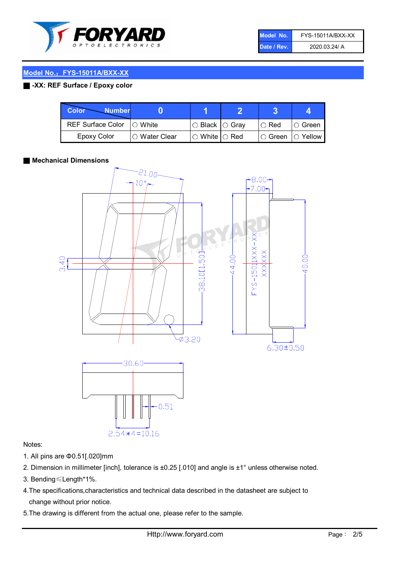

| Model No.   | FYS-15011A/BXX-XX |
|-------------|-------------------|
| Date / Rev. | 2020.03.24/ A     |

## Model No.: FYS-15011A/BXX-XX

## ■ -XX: REF Surface / Epoxy color

| Color<br><b>Number</b>     |                |                           |             |                |
|----------------------------|----------------|---------------------------|-------------|----------------|
| REF Surface Color  ○ White |                | ○ Black  ○ Gray           | $\circ$ Red | $\circ$ Green  |
| Epoxy Color                | I∩ Water Clear | $\circ$ White $\circ$ Red | I⊖ Green    | $\circ$ Yellow |

## ■ Mechanical Dimensions



## Notes:

- 1. All pins are Φ0.51[.020]mm
- 2. Dimension in millimeter [inch], tolerance is ±0.25 [.010] and angle is ±1° unless otherwise noted.
- 3. Bending≤Length\*1%.
- 4.The specifications,characteristics and technical data described in the datasheet are subject to change without prior notice.
- 5.The drawing is different from the actual one, please refer to the sample.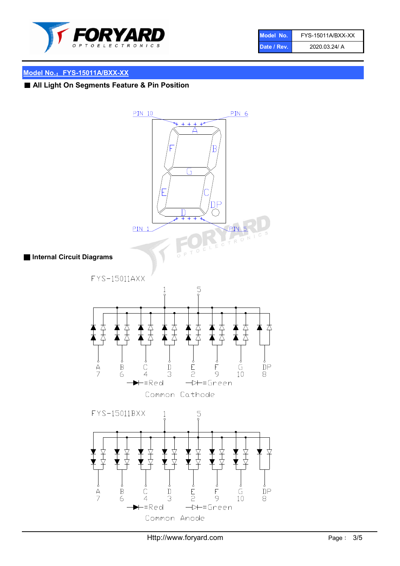

| Model No.   | FYS-15011A/BXX-XX |
|-------------|-------------------|
| Date / Rev. | 2020.03.24/ A     |

## Model No.: FYS-15011A/BXX-XX

## ■ All Light On Segments Feature & Pin Position

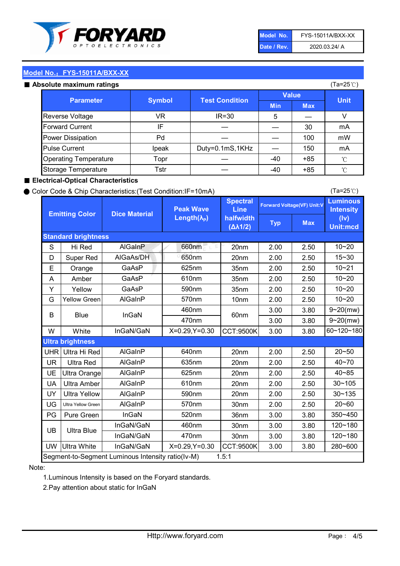

| Model No.   | FYS-15011A/BXX-XX |
|-------------|-------------------|
| Date / Rev. | 2020.03.24/ A     |

(Ta=25℃)

## Model No.: FYS-15011A/BXX-XX

#### Absolute maximum ratings

| solute maximum ratings            |       |                       |              |       | (Ta=25℃)    |
|-----------------------------------|-------|-----------------------|--------------|-------|-------------|
| <b>Parameter</b><br><b>Symbol</b> |       | <b>Test Condition</b> | <b>Value</b> |       | <b>Unit</b> |
|                                   |       | <b>Min</b>            | <b>Max</b>   |       |             |
| Reverse Voltage                   | VR    | $IR = 30$             | 5            |       |             |
| <b>Forward Current</b>            | ΙF    |                       |              | 30    | mA          |
| Power Dissipation                 | Pd    |                       |              | 100   | mW          |
| <b>Pulse Current</b>              | Ipeak | Duty=0.1mS,1KHz       |              | 150   | mA          |
| <b>Operating Temperature</b>      | Topr  |                       | $-40$        | $+85$ | °C          |
| Storage Temperature               | Tstr  |                       | $-40$        | $+85$ | °C          |

## ■ Electrical-Optical Characteristics

## ● Color Code & Chip Characteristics:(Test Condition:IF=10mA)

Typ Max S | Hi $\textsf{Red}$  | AlGaInP | 660nm LE 20nm | 2.00 | 2.50 D | Super Red | AIGaAs/DH | 650nm | 20nm | 2.00 | 2.50 E | Orange | GaAsP | 625nm | 35nm | 2.00 | 2.50 A | Amber | GaAsP | 610nm | 35nm | 2.00 | 2.50 Y | Yellow | GaAsP | 590nm | 35nm | 2.00 | 2.50 G Yellow Green AIGaInP | 570nm | 10nm | 2.00 | 2.50 3.00 3.80 3.00 3.80 W | White | InGaN/GaN | X=0.29,Y=0.30 |CCT:9500K| 3.00 | 3.80 UHR Ultra Hi Red | AlGaInP | 640nm | 20nm | 2.00 | 2.50 UR | Ultra Red | AlGaInP | 635nm | 20nm | 2.00 | 2.50 UE Ultra Orange | AIGaInP | 625nm | 20nm | 2.00 | 2.50 UA Ultra Amber | AIGaInP | 610nm | 20nm | 2.00 | 2.50  $UV$  Ultra Yellow  $\vert$  AlGaInP  $\vert$  590nm  $\vert$  20nm  $\vert$  2.00  $\vert$  2.50  $\text{UG}$  Ultra Yellow Green | AIGaInP | 570nm | 30nm | 2.00 | 2.50 PG Pure Green | InGaN | 520nm | 36nm | 3.00 | 3.80 30nm 3.00 3.80 30nm 3.00 3.80 UW |Ultra White | InGaN/GaN | X=0.29,Y=0.30 |CCT:9500K| 3.00 | 3.80 40~85 60~120~180 40~70 Segment-to-Segment Luminous Intensity ratio(Iv-M) 1.5:1 610nm 9~20(mw) 350~450 470nm 120~180 120~180 Ultra Blue InGaN/GaN InGaN/GaN 9~20(mw) 20~50 280~600 570nm | 30nm | 2.00 | 2.50 | 20~60 470nm 590nm InGaN/GaN B Blue I InGaN 570nm | 10nm | 2.00 | 2.50 | 10~20 30~105 30~135 460nm 520nm Ultra brightness **AlGaInP** AlGaInP 60nm AlGaInP 640nm Peak Wave Length $(\lambda_{\rm P})$ UB 460nm 635nm AlGaInP AlGaInP AlGaInP InGaN/GaN AlGaInP 10~20 Luminous **Intensity** (Iv) Unit:mcd AlGainP 660nm GaAsP GaAsP AlGaAs/DH **Spectral** Line halfwidth (∆λ1/2) 10~20 Standard brightness Forward Voltage(VF) Unit:V 15~30 10~20 625nm GaAsP 590nm **Emitting Color Dice Material** 10~21 610nm

## Note:

1.Luminous Intensity is based on the Foryard standards.

2.Pay attention about static for InGaN